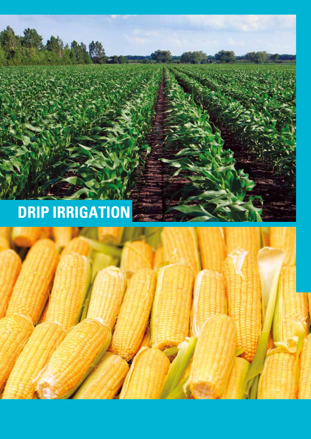# **DRIP IRRIGATION**



.<br>13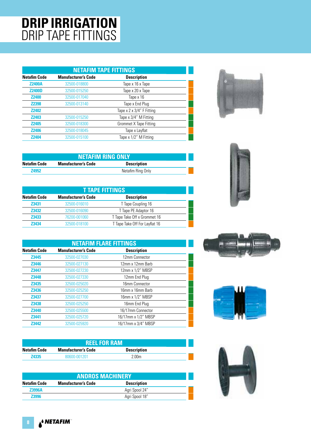### **DRIP IRRIGATION** DRIP TAPE FITTINGS

|                     | <b>NETAFIM TAPE FITTINGS</b> |                           |  |  |
|---------------------|------------------------------|---------------------------|--|--|
| <b>Netafim Code</b> | <b>Manufacturer's Code</b>   | <b>Description</b>        |  |  |
| <b>Z2400A</b>       | 32500-018800                 | Tape x 16 x Tape          |  |  |
| <b>Z2400D</b>       | 32500-015250                 | Tape x 20 x Tape          |  |  |
| <b>Z2400</b>        | 32500-017040                 | Tape x 16                 |  |  |
| <b>Z2398</b>        | 32500-013140                 | Tape x End Plug           |  |  |
| <b>Z2402</b>        |                              | Tape x 2 x 3/4" F Fitting |  |  |
| <b>Z2403</b>        | 32500-015250                 | Tape x 3/4" M Fitting     |  |  |
| <b>Z2405</b>        | 32500-018300                 | Grommet X Tape Fitting    |  |  |
| <b>Z2406</b>        | 32500-018045                 | Tape x Layflat            |  |  |
| <b>Z2404</b>        | 32500-015100                 | Tape x 1/2" M Fitting     |  |  |



|              | <b>NETAFIM RING ONLY</b>                         |  |  |  |
|--------------|--------------------------------------------------|--|--|--|
| Netafim Code | <b>Manufacturer's Code</b><br><b>Description</b> |  |  |  |
| <b>Z4952</b> | Netafim Ring Only                                |  |  |  |

| <b>T TAPE FITTINGS</b> |                                      |                                |  |
|------------------------|--------------------------------------|--------------------------------|--|
| <b>Netafim Code</b>    | <b>Description</b>                   |                                |  |
| Z3431                  | 32500-016010                         | T Tape Coupling 16             |  |
| Z3432                  | T Tape PE Adaptor 16<br>32500-016090 |                                |  |
| Z3433                  | 76200-001060                         | T Tape Take Off x Grommet 16   |  |
| 73434                  | 32500-018100                         | T Tape Take Off For Layflat 16 |  |

| <b>NETAFIM FLARE FITTINGS</b> |                            |                     |  |
|-------------------------------|----------------------------|---------------------|--|
| <b>Netafim Code</b>           | <b>Manufacturer's Code</b> | <b>Description</b>  |  |
| Z3445                         | 32500-027030               | 12mm Connector      |  |
| <b>Z3446</b>                  | 32500-027130               | 12mm x 12mm Barb    |  |
| <b>Z3447</b>                  | 32500-027230               | 12mm x 1/2" MBSP    |  |
| Z3448                         | 32500-027330               | 12mm End Plug       |  |
| Z3435                         | 32500-025020               | 16mm Connector      |  |
| Z3436                         | 32500-025250               | 16mm x 16mm Barb    |  |
| <b>Z3437</b>                  | 32500-027700               | 16mm x 1/2" MBSP    |  |
| Z3438                         | 32500-025250               | 16mm End Plug       |  |
| <b>Z3440</b>                  | 32500-025500               | 16/17mm Connector   |  |
| Z3441                         | 32500-025720               | 16/17mm x 1/2" MBSP |  |
| Z3442                         | 32500-025920               | 16/17mm x 3/4" MBSP |  |

|                     | <b>REEL FOR RAM</b>        |                    |  |
|---------------------|----------------------------|--------------------|--|
| <b>Netafim Code</b> | <b>Manufacturer's Code</b> | <b>Description</b> |  |
| <b>Z4335</b>        | 80600-001201               | 2.00 <sub>m</sub>  |  |

| <b>ANDROS MACHINERY</b> |                            |                    |  |  |
|-------------------------|----------------------------|--------------------|--|--|
| <b>Netafim Code</b>     | <b>Manufacturer's Code</b> | <b>Description</b> |  |  |
| <b>Z3996A</b>           |                            | Agri Spool 24"     |  |  |
| <b>Z3996</b>            |                            | Agri Spool 18"     |  |  |







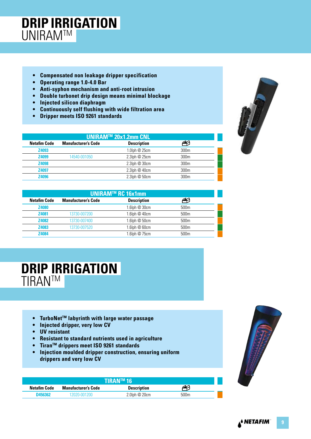### **DRIP IRRIGATION UNIRAMTM**

- **Compensated non leakage dripper specification**
- **Operating range 1.0-4.0 Bar**
- **Anti-syphon mechanism and anti-root intrusion**
- **Double turbonet drip design means minimal blockage**
- **Injected silicon diaphragm**
- **Continuously self flushing with wide filtration area**
- **Dripper meets ISO 9261 standards**

| UNIRAM™ 20x1.2mm CNL. |                            |                    |                  |  |
|-----------------------|----------------------------|--------------------|------------------|--|
| <b>Netafim Code</b>   | <b>Manufacturer's Code</b> | <b>Description</b> | حببته            |  |
| Z4093                 |                            | 1.0lph @ 25cm      | 300m             |  |
| Z4099                 | 14540-001050               | 2.3lph @ 25cm      | 300 <sub>m</sub> |  |
| Z4098                 |                            | 2.3lph @ 30cm      | 300 <sub>m</sub> |  |
| <b>Z4097</b>          |                            | 2.3lph @ 40cm      | 300 <sub>m</sub> |  |
| <b>Z4096</b>          |                            | 2.3lph @ 50cm      | 300m             |  |

| UNIRAM™ RC 16x1mm   |                            |                                                  |                  |  |
|---------------------|----------------------------|--------------------------------------------------|------------------|--|
| <b>Netafim Code</b> | <b>Manufacturer's Code</b> | <b>Description</b>                               |                  |  |
| <b>Z4080</b>        |                            | 1.6 $1$ ph $@$ 30 $cm$                           | 500 <sub>m</sub> |  |
| Z4081               | 13730-007200               | $1.6$ lph $@$ 40cm                               | 500 <sub>m</sub> |  |
| <b>Z4082</b>        | 13730-007400               | 1.6 $\mathsf{lph}\ \mathsf{\textcircled{B}50cm}$ | 500 <sub>m</sub> |  |
| <b>Z4083</b>        | 13730-007520               | $1.6$ lph $@60cm$                                | 500 <sub>m</sub> |  |
| <b>Z4084</b>        |                            | 1.6 $\mathsf{I}$ ph @ 75cm                       | 500m             |  |
|                     |                            |                                                  |                  |  |

#### **DRIP IRRIGATION TIRANTM**

- **TurboNetTM labyrinth with large water passage**
- **Injected dripper, very low CV**
- **UV resistant**
- **Resistant to standard nutrients used in agriculture**
- **TiranTM drippers meet ISO 9261 standards**
- **Injection moulded dripper construction, ensuring uniform drippers and very low CV**

|                     |                            | <b>TIRAN™16</b>    |      |
|---------------------|----------------------------|--------------------|------|
| <b>Netafim Code</b> | <b>Manufacturer's Code</b> | <b>Description</b> |      |
| D456362             | 12020-001200               | $2.0$ lph $@20cm$  | 500m |

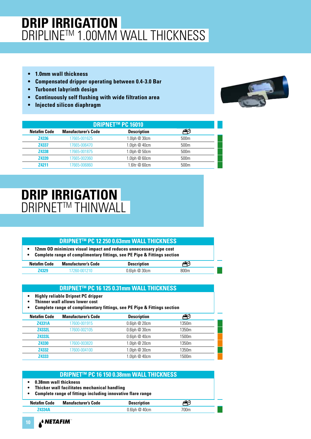# **DRIP IRRIGATION** DRIPLINE™ 1.00MM WALL THICKNESS

- **1.0mm wall thickness**
- **Compensated dripper operating between 0.4-3.0 Bar**
- **Turbonet labyrinth design**
- **Continuously self flushing with wide filtration area**
- **Injected silicon diaphragm**



|                     | <b>DRIPNET™ PC 16010</b>   |                    |                  |  |
|---------------------|----------------------------|--------------------|------------------|--|
| <b>Netafim Code</b> | <b>Manufacturer's Code</b> | <b>Description</b> |                  |  |
| <b>Z4336</b>        | 17665-001625               | $1.0$ lph $@30cm$  | 500 <sub>m</sub> |  |
| Z4337               | 17665-006470               | 1.0lph @ 40cm      | 500 <sub>m</sub> |  |
| Z4338               | 17665-001875               | 1.0lph @ 50cm      | 500 <sub>m</sub> |  |
| Z4339               | 17665-002060               | 1.0lph @ 60cm      | 500 <sub>m</sub> |  |
| 74211               | 17665-006860               | $1.6$ ltr $@60cm$  | 500 <sub>m</sub> |  |

#### **DRIP IRRIGATION DRIPNET™ THINWALL**

#### **DRIPNETTM PC 12 250 0.63mm WALL THICKNESS**

**• 12mm OD minimizes visual impact and reduces unnecessary pipe cost • Complete range of complimentary fittings, see PE Pipe & Fittings section**

| <u>comprete range or comprimentary nttings, see ifferings and itemps section</u> |                     |                    |      |  |
|----------------------------------------------------------------------------------|---------------------|--------------------|------|--|
| Netafim Code                                                                     | Manufacturer's Code | <b>Description</b> | ✍    |  |
| <b>Z4329</b>                                                                     | 17260-001210        | 0.6lph @ 30cm      | 800m |  |

#### **DRIPNETTM PC 16 125 0.31mm WALL THICKNESS**

**• Highly reliable Dripnet PC dripper** 

- **Thinner wall allows lower cost**
- **Complete range of complimentary fittings, see PE Pipe & Fittings section**

| <b>Netafim Code</b> | <b>Manufacturer's Code</b> | <b>Description</b>              |       |
|---------------------|----------------------------|---------------------------------|-------|
| <b>Z4331A</b>       | 17600-001915               | $0.6$ lph $@20$ cm              | 1350m |
| <b>Z4332L</b>       | 17600-002105               | $0.6$ lph $@30cm$               | 1350m |
| <b>Z4333L</b>       |                            | $0.6$ lph $@$ 40cm              | 1500m |
| <b>Z4330</b>        | 17600-003820               | 1.0lph @ 20cm                   | 1350m |
| <b>Z4332</b>        | 17600-004100               | $1.0$ lph $@30$ cm              | 1350m |
| Z4333               |                            | 1.0 $\ln \omega$ 40 $\text{cm}$ | 1500m |

#### **DRIPNETTM PC 16 150 0.38mm WALL THICKNESS**

- **0.38mm wall thickness**
- **Thicker wall facilitates mechanical handling**
- **Complete range of fittings including innovative flare range**

| <b>Netafim Code</b> | <b>Manufacturer's Code</b> | <b>Description</b> |      |  |
|---------------------|----------------------------|--------------------|------|--|
| 74334A              |                            | $0.6$ lph $@$ 40cm | 700m |  |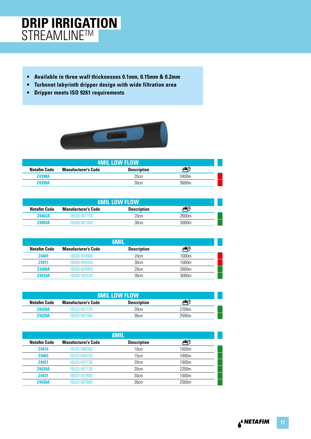### **DRIP IRRIGATION** STREAMLINE™

- **Available in three wall thicknesses 0.1mm, 0.15mm & 0.2mm**
- **Turbonet labyrinth dripper design with wide filtration area**
- **Dripper meets ISO 9261 requirements**



| <b>4MIL LOW FLOW</b> |                            |                    |       |  |  |
|----------------------|----------------------------|--------------------|-------|--|--|
| <b>Netafim Code</b>  | <b>Manufacturer's Code</b> | <b>Description</b> |       |  |  |
| <b>Z4398A</b>        |                            | 20cm               | 3400m |  |  |
| <b>Z4399A</b>        |                            | 30cm               | 3600m |  |  |

|               | <b>6MIL LOW FLOW</b>       |                    |       |  |  |  |
|---------------|----------------------------|--------------------|-------|--|--|--|
| Netafim Code  | <b>Manufacturer's Code</b> | <b>Description</b> |       |  |  |  |
| <b>Z4402A</b> | 16500-001150               | 20cm               | 2600m |  |  |  |
| 74403A        | 16500-001400               | 30cm               | 3000m |  |  |  |

|                     |                            | 6MIL               |       |
|---------------------|----------------------------|--------------------|-------|
| <b>Netafim Code</b> | <b>Manufacturer's Code</b> | <b>Description</b> |       |
| <b>Z4401</b>        | 16500-004900               | 20cm               | 1000m |
| Z4411               | 16500-005450               | 30cm               | 1000m |
| <b>Z4400A</b>       | 16500-004950               | 20cm               | 2600m |
| <b>Z4410A</b>       | 16500-005530               | 30cm               | 3000m |

|               | <b>8MIL LOW FLOW</b>       |                    |       |  |  |
|---------------|----------------------------|--------------------|-------|--|--|
| Netafim Code  | <b>Manufacturer's Code</b> | <b>Description</b> |       |  |  |
| <b>Z4428A</b> | 16520-001120               | 20cm               | 2200m |  |  |
| 74429A        | 16520-001580               | 30cm               | 2500m |  |  |

| 8MIL                |                            |                    |       |  |
|---------------------|----------------------------|--------------------|-------|--|
| <b>Netafim Code</b> | <b>Manufacturer's Code</b> | <b>Description</b> |       |  |
| Z4415               | 16520-006350               | 10cm               | 1000m |  |
| <b>Z4465</b>        | 16520-006700               | 15cm               | 1000m |  |
| <b>Z4421</b>        | 16520-007130               | 20cm               | 1000m |  |
| <b>Z4420A</b>       | 16520-007130               | 20cm               | 2200m |  |
| <b>Z4431</b>        | 16520-007600               | 30cm               | 1000m |  |
| <b>Z4430A</b>       | 16520-007680               | 30cm               | 2500m |  |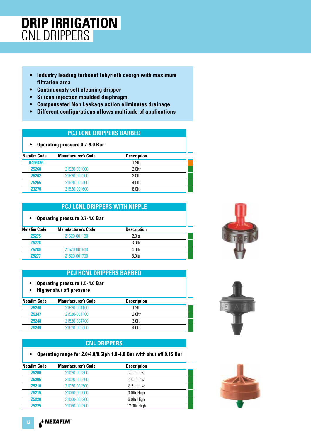### **DRIP IRRIGATION** CNL DRIPPERS

- **Industry leading turbonet labyrinth design with maximum filtration area**
- **Continuously self cleaning dripper**
- **Silicon injection moulded diaphragm**
- **Compensated Non Leakage action eliminates drainage**
- **Different configurations allows multitude of applications**

#### **PCJ LCNL DRIPPERS BARBED**

| <b>Operating pressure 0.7-4.0 Bar</b> |
|---------------------------------------|
|---------------------------------------|

| <b>Netafim Code</b> | <b>Manufacturer's Code</b> | <b>Description</b> |  |
|---------------------|----------------------------|--------------------|--|
| D456486             |                            | $1.2$ ltr          |  |
| <b>Z5260</b>        | 21520-001000               | 2.0ltr             |  |
| <b>Z5262</b>        | 21520-001200               | $3.0$ ltr          |  |
| <b>Z5265</b>        | 21520-001400               | 4.0ltr             |  |
| <b>Z3270</b>        | 21520-001600               | 8.0ltr             |  |

#### **PCJ LCNL DRIPPERS WITH NIPPLE**

| <b>Operating pressure 0.7-4.0 Bar</b> |  |  |  |  |
|---------------------------------------|--|--|--|--|
|---------------------------------------|--|--|--|--|

| <b>Netafim Code</b> | <b>Manufacturer's Code</b> | <b>Description</b> |  |
|---------------------|----------------------------|--------------------|--|
| <b>Z5275</b>        | 21520-001100               | $2.0$ ltr          |  |
| <b>Z5276</b>        |                            | $3.0$ ltr          |  |
| <b>Z5280</b>        | 21520-001500               | 4 Oltr             |  |
| 75277               | 21520-001700               | 8 Oltr             |  |

#### **PCJ HCNL DRIPPERS BARBED**

- **Operating pressure 1.5-4.0 Bar**
- **Higher shut off pressure**

| <b>Netafim Code</b> | <b>Manufacturer's Code</b> | <b>Description</b> |  |
|---------------------|----------------------------|--------------------|--|
| <b>Z5246</b>        | 21520-004100               | $12$ ltr           |  |
| <b>Z5247</b>        | 21520-004400               | 2 Oltr             |  |
| <b>Z5248</b>        | 21520-004700               | $3$ $0$ ltr        |  |
| <b>Z5249</b>        | 21520-005000               | 4 Oltr             |  |

#### **CNL DRIPPERS**

**• Operating range for 2.0/4.0/8.5lph 1.0-4.0 Bar with shut off 0.15 Bar**

| <b>Netafim Code</b> | <b>Manufacturer's Code</b> | <b>Description</b> |  |
|---------------------|----------------------------|--------------------|--|
| <b>Z5200</b>        | 21020-001300               | 2.0ltr Low         |  |
| <b>Z5205</b>        | 21020-001400               | 4.0ltr Low         |  |
| <b>Z5210</b>        | 21020-001500               | 8.5ltr Low         |  |
| <b>Z5215</b>        | 21060-001000               | 3.0ltr High        |  |
| <b>Z5220</b>        | 21060-001200               | 6.0ltr High        |  |
| <b>Z5225</b>        | 21060-001300               | 12.0ltr High       |  |
|                     |                            |                    |  |







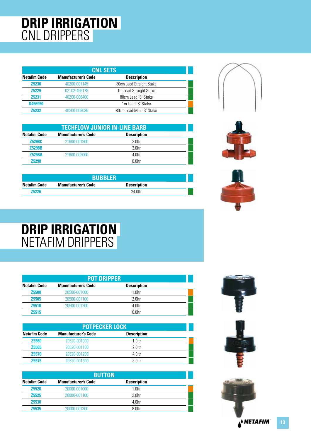### **DRIP IRRIGATION** CNL DRIPPERS

| <b>CNL SETS</b>     |                            |                          |  |
|---------------------|----------------------------|--------------------------|--|
| <b>Netafim Code</b> | <b>Manufacturer's Code</b> | <b>Description</b>       |  |
| <b>Z5230</b>        | 40200-001145               | 80cm Lead Straight Stake |  |
| <b>Z5229</b>        | 02102-456178               | 1m Lead Straight Stake   |  |
| <b>Z5231</b>        | 40200-006400               | 80cm Lead 'S' Stake      |  |
| D456950             |                            | 1m Lead 'S' Stake        |  |
| 75232               | 40200-009035               | 80cm Lead Mini 'S' Stake |  |



| <b>TECHFLOW JUNIOR IN-LINE BARB</b> |                            |                    |  |
|-------------------------------------|----------------------------|--------------------|--|
| Netafim Code                        | <b>Manufacturer's Code</b> | <b>Description</b> |  |
| Z5298C                              | 21600-001800               | $2.0$ ltr          |  |
| <b>Z5298B</b>                       |                            | $3.0$ ltr          |  |
| <b>Z5298A</b>                       | 21600-002000               | 4 Oltr             |  |
| <b>Z5298</b>                        |                            | 8 Oltr             |  |

| <b>BUBBLER</b> |                            |                    |  |
|----------------|----------------------------|--------------------|--|
| Netafim Code   | <b>Manufacturer's Code</b> | <b>Description</b> |  |
| <b>Z5226</b>   |                            | 24 Oltr            |  |



### **DRIP IRRIGATION** NETAFIM DRIPPERS

|                     | <b>POT DRIPPER</b>         |                    |  |  |
|---------------------|----------------------------|--------------------|--|--|
| <b>Netafim Code</b> | <b>Manufacturer's Code</b> | <b>Description</b> |  |  |
| <b>Z5500</b>        | 20500-001000               | $1.0$ ltr          |  |  |
| <b>Z5505</b>        | 20500-001100               | 2.0ltr             |  |  |
| Z <sub>5510</sub>   | 20500-001200               | 4.0ltr             |  |  |
| <b>Z5515</b>        |                            | 8 Oltr             |  |  |

| <b>POTPECKER LOCK</b> |                            |                    |  |
|-----------------------|----------------------------|--------------------|--|
| <b>Netafim Code</b>   | <b>Manufacturer's Code</b> | <b>Description</b> |  |
| <b>Z5560</b>          | 20520-001000               | $1.0$ ltr          |  |
| <b>Z5565</b>          | 20520-001100               | $2.0$ ltr          |  |
| <b>Z5570</b>          | 20520-001200               | 4.0ltr             |  |
| 75575                 | 20520-001300               | 8.0ltr             |  |

| <b>BUTTON</b>       |                            |                    |  |
|---------------------|----------------------------|--------------------|--|
| <b>Netafim Code</b> | <b>Manufacturer's Code</b> | <b>Description</b> |  |
| <b>Z5520</b>        | 20000-001000               | $1.0$ ltr          |  |
| <b>Z5525</b>        | 20000-001100               | 2 Oltr             |  |
| <b>Z5530</b>        |                            | 4.0ltr             |  |
| <b>Z5535</b>        | 20000-001300               | 8.0ltr             |  |



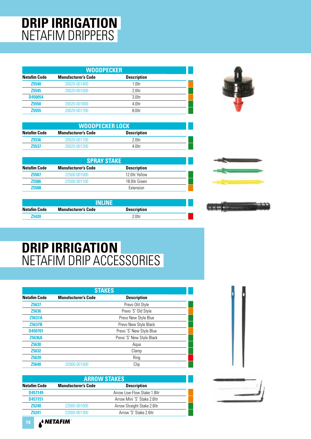# **DRIP IRRIGATION** NETAFIM DRIPPERS

| <b>WOODPECKER</b>   |                            |                    |  |
|---------------------|----------------------------|--------------------|--|
| <b>Netafim Code</b> | <b>Manufacturer's Code</b> | <b>Description</b> |  |
| <b>Z5540</b>        | 20020-001400               | $1.0$ ltr          |  |
| <b>Z5545</b>        | 20020-001500               | $2.0$ ltr          |  |
| D450054             |                            | 3.0ltr             |  |
| <b>Z5550</b>        | 20020-001600               | 4.0ltr             |  |
| <b>Z5555</b>        | 20020-001700               | 8.0ltr             |  |



| <b>WOODPECKER LOCK</b> |                            |                    |  |
|------------------------|----------------------------|--------------------|--|
| Netafim Code           | <b>Manufacturer's Code</b> | <b>Description</b> |  |
| <b>Z5536</b>           | 20020-001100               | 2.0ltr             |  |
| <b>Z5537</b>           | 20020-001200               | 4 Oltr             |  |

| <b>SPRAY STAKE</b>  |                            |                    |  |
|---------------------|----------------------------|--------------------|--|
| <b>Netafim Code</b> | <b>Manufacturer's Code</b> | <b>Description</b> |  |
| <b>Z5587</b>        | 22500-001000               | 12 Oltr Yellow     |  |
| <b>Z5586</b>        | 22500-001100               | 18.0ltr Green      |  |
| <b>Z5588</b>        |                            | Extension          |  |



 $\frac{1}{2}$ 

|                     | INI INE                    |                    |  |
|---------------------|----------------------------|--------------------|--|
| <b>Netafim Code</b> | <b>Manufacturer's Code</b> | <b>Description</b> |  |
| 75420               |                            | $2.0$ ltr          |  |

# **DRIP IRRIGATION** NETAFIM DRIP ACCESSORIES

| <b>STAKES</b>       |                            |                           |  |
|---------------------|----------------------------|---------------------------|--|
| <b>Netafim Code</b> | <b>Manufacturer's Code</b> | <b>Description</b>        |  |
| <b>Z5637</b>        |                            | Prevo Old Style           |  |
| <b>Z5636</b>        |                            | Prevo 'S' Old Style       |  |
| <b>Z5637A</b>       |                            | Prevo New Style Blue      |  |
| <b>Z5637B</b>       |                            | Prevo New Style Black     |  |
| D450701             |                            | Prevo 'S' New Style Blue  |  |
| <b>Z5636A</b>       |                            | Prevo 'S' New Style Black |  |
| <b>Z5630</b>        |                            | Agua                      |  |
| <b>Z5632</b>        |                            | Clamp                     |  |
| Z5639               |                            | Ring                      |  |
| <b>Z5640</b>        | 32000-001500               | Clip                      |  |

| <b>ARROW STAKES</b>        |                              |  |
|----------------------------|------------------------------|--|
| <b>Manufacturer's Code</b> | <b>Description</b>           |  |
|                            | Arrow Low-Flow Stake 1.8 Itr |  |
|                            | Arrow Mini 'S' Stake 2.6ltr  |  |
| 22000-001000               | Arrow Straight Stake 2.6ltr  |  |
| 22000-001300               | Arrow 'S' Stake 2.6ltr       |  |
|                            |                              |  |





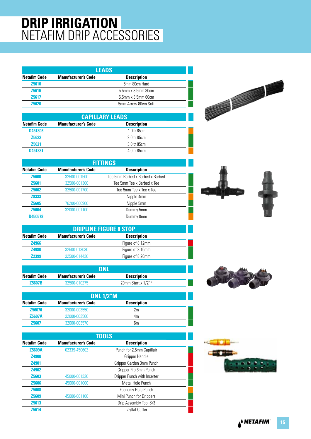### **DRIP IRRIGATION** NETAFIM DRIP ACCESSORIES

| <b>LEADS</b>        |                            |                             |  |
|---------------------|----------------------------|-----------------------------|--|
| <b>Netafim Code</b> | <b>Manufacturer's Code</b> | <b>Description</b>          |  |
| <b>Z5610</b>        |                            | 5mm 80cm Hard               |  |
| <b>Z5616</b>        |                            | 5.5mm x 3.5mm 80cm          |  |
| <b>Z5617</b>        |                            | $5.5$ mm x $3.5$ mm $60$ cm |  |
| 75620               |                            | 5mm Arrow 80cm Soft         |  |

| <b>CAPILLARY LEADS</b> |                            |                    |  |
|------------------------|----------------------------|--------------------|--|
| <b>Netafim Code</b>    | <b>Manufacturer's Code</b> | <b>Description</b> |  |
| D451808                |                            | 1.0ltr 85cm        |  |
| <b>Z5622</b>           |                            | 2.0 tr 85cm        |  |
| <b>Z5621</b>           |                            | 3.0 tr 85cm        |  |
| D451831                |                            | 4.0ltr 85cm        |  |
|                        |                            |                    |  |

| <b>FITTINGS</b>     |                            |                                  |
|---------------------|----------------------------|----------------------------------|
| <b>Netafim Code</b> | <b>Manufacturer's Code</b> | <b>Description</b>               |
| <b>Z5600</b>        | 32500-001500               | Tee 5mm Barbed x Barbed x Barbed |
| <b>Z5601</b>        | 32500-001300               | Tee 5mm Tee x Barbed x Tee       |
| <b>Z5602</b>        | 32500-001700               | Tee 5mm Tee x Tee x Tee          |
| Z8333               |                            | Nipple 4mm                       |
| <b>Z5605</b>        | 76200-000900               | Nipple 5mm                       |
| <b>Z5604</b>        | 32000-001100               | Dummy 5mm                        |
| D450578             |                            | Dummy 8mm                        |

| <b>DRIPLINE FIGURE 8 STOP</b> |                            |                    |  |
|-------------------------------|----------------------------|--------------------|--|
| <b>Netafim Code</b>           | <b>Manufacturer's Code</b> | <b>Description</b> |  |
| <b>Z4966</b>                  |                            | Figure of 8 12mm   |  |
| <b>Z4980</b>                  | 32500-013030               | Figure of 8 16mm   |  |
| 72399                         | 32500-014430               | Figure of 8 20mm   |  |
|                               |                            |                    |  |

|                     | DNI                        |                    |  |
|---------------------|----------------------------|--------------------|--|
| <b>Netafim Code</b> | <b>Manufacturer's Code</b> | <b>Description</b> |  |
| <b>Z5607B</b>       | 32500-010275               | 20mm Start x 1/2"F |  |

| <b>DNL 1/2"M</b>    |                            |                    |  |
|---------------------|----------------------------|--------------------|--|
| <b>Netafim Code</b> | <b>Manufacturer's Code</b> | <b>Description</b> |  |
| <b>Z56076</b>       | 32000-003550               | 2m                 |  |
| <b>Z5607A</b>       | 32000-003560               | 4m                 |  |
| <b>Z5607</b>        | 32000-003570               | 6m                 |  |

| <b>TOOLS</b>        |                            |                             |
|---------------------|----------------------------|-----------------------------|
| <b>Netafim Code</b> | <b>Manufacturer's Code</b> | <b>Description</b>          |
| <b>Z5609A</b>       | 02339-450602               | Punch for 2.5mm Capillair   |
| <b>Z4900</b>        |                            | Gripper Handle              |
| <b>Z4901</b>        |                            | Gripper Garden 3mm Punch    |
| <b>Z4902</b>        |                            | Gripper Pro 8mm Punch       |
| <b>Z5603</b>        | 45000-001320               | Dripper Punch with Inserter |
| <b>Z5606</b>        | 45000-001000               | Metal Hole Punch            |
| <b>Z5608</b>        |                            | Economy Hole Punch          |
| <b>Z5609</b>        | 45000-001100               | Mini Punch for Drippers     |
| Z5613               |                            | Drip Assembly Tool S/3      |
| <b>Z5614</b>        |                            | Layflat Cutter              |



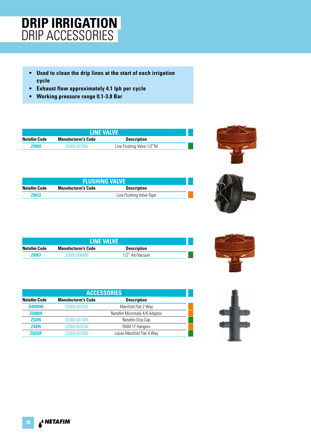### **DRIP IRRIGATION** DRIP ACCESSORIES

- **Used to clean the drip lines at the start of each irrigation cycle**
- **Exhaust flow approximately 4.1 lph per cycle**
- **Working pressure range 0.1-3.8 Bar**

| <b>LINE VALVE</b> |                            |                           |  |
|-------------------|----------------------------|---------------------------|--|
| Netafim Code      | <b>Manufacturer's Code</b> | <b>Description</b>        |  |
| 74959             | 32000-007850               | Line Flushing Valve 1/2"M |  |



|              | <b>FLUSHING VALVE</b>      |                          |  |
|--------------|----------------------------|--------------------------|--|
| Netafim Code | <b>Manufacturer's Code</b> | <b>Description</b>       |  |
| <b>Z5612</b> |                            | Line Flushing Valve Tape |  |



| <b>LINE VALVE</b>   |                            |                    |  |
|---------------------|----------------------------|--------------------|--|
| <b>Netafim Code</b> | <b>Manufacturer's Code</b> | <b>Description</b> |  |
| <b>Z4957</b>        | 32000-008400               | 1/2" Air/Vacuum    |  |

| <b>ACCESSORIES</b>  |                            |                               |  |
|---------------------|----------------------------|-------------------------------|--|
| <b>Netafim Code</b> | <b>Manufacturer's Code</b> | <b>Description</b>            |  |
| D450594             | 32000-002530               | Manifold Flat 2 Way           |  |
| <b>Z2409A</b>       |                            | Netafim Microtube 4/6 Adaptor |  |
| <b>Z5245</b>        | 32000-001400               | Netafim Drip Cap              |  |
| <b>Z4395</b>        | 32000-003530               | RAM 17 Hangers                |  |
| <b>75235F</b>       | 32000-002560               | Loose Manifold Flat 4 Way     |  |



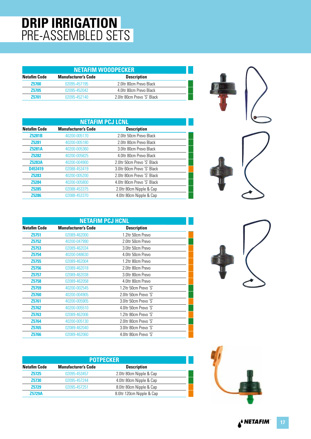# **DRIP IRRIGATION** PRE-ASSEMBLED SETS

| <b>NETAFIM WOODPECKER</b> |                            |                             |  |  |
|---------------------------|----------------------------|-----------------------------|--|--|
| <b>Netafim Code</b>       | <b>Manufacturer's Code</b> | <b>Description</b>          |  |  |
| <b>Z5700</b>              | 02095-457195               | 2.01tr 80cm Prevo Black     |  |  |
| <b>Z5705</b>              | 02095-452042               | 4.0ltr 80cm Prevo Black     |  |  |
| 75701                     | 02095-452140               | 2.0ltr 80cm Prevo 'S' Black |  |  |

| <b>NETAFIM PCJ LCNL</b> |                            |                             |  |  |
|-------------------------|----------------------------|-----------------------------|--|--|
| <b>Netafim Code</b>     | <b>Manufacturer's Code</b> | <b>Description</b>          |  |  |
| <b>Z5281B</b>           | 40200-005170               | 2.0ltr 50cm Prevo Black     |  |  |
| <b>Z5281</b>            | 40200-005180               | 2.0ltr 80cm Prevo Black     |  |  |
| <b>Z5281A</b>           | 40200-005360               | 3.0 Itr 80cm Prevo Black    |  |  |
| <b>Z5282</b>            | 40200-005825               | 4.0ltr 80cm Prevo Black     |  |  |
| <b>Z5283A</b>           | 40200-004900               | 2.0ltr 50cm Prevo 'S' Black |  |  |
| D453419                 | 02088-453419               | 3.0ltr 60cm Prevo 'S' Black |  |  |
| Z5283                   | 40200-005200               | 2.0ltr 80cm Prevo 'S' Black |  |  |
| <b>Z5284</b>            | 40200-005800               | 4.0ltr 80cm Prevo 'S' Black |  |  |
| <b>Z5285</b>            | 02088-453375               | 2.0ltr 80cm Nipple & Cap    |  |  |
| <b>Z5286</b>            | 02088-453370               | 4.0ltr 80cm Nipple & Cap    |  |  |



|                     | <b>NETAFIM PCJ HCNL</b>    |                        |  |  |  |
|---------------------|----------------------------|------------------------|--|--|--|
| <b>Netafim Code</b> | <b>Manufacturer's Code</b> | <b>Description</b>     |  |  |  |
| <b>Z5751</b>        | 02089-462000               | 1.2ltr 50cm Prevo      |  |  |  |
| <b>Z5752</b>        | 40200-047990               | 2.0ltr 50cm Prevo      |  |  |  |
| Z5753               | 02089-462034               | 3.0ltr 50cm Prevo      |  |  |  |
| Z5754               | 40200-048630               | 4.0ltr 50cm Prevo      |  |  |  |
| Z5755               | 02089-462004               | 1.2Itr 80cm Prevo      |  |  |  |
| <b>Z5756</b>        | 02089-462018               | 2.0ltr 80cm Prevo      |  |  |  |
| Z5757               | 02089-462038               | 3.0ltr 80cm Prevo      |  |  |  |
| Z <sub>5758</sub>   | 02089-462058               | 4.0ltr 80cm Prevo      |  |  |  |
| Z5759               | 40200-002545               | 1.2ltr 50cm Prevo 'S'  |  |  |  |
| Z5760               | 40200-004905               | 2.0ltr 50cm Prevo 'S'  |  |  |  |
| Z5761               | 40200-005905               | 3.0 Itr 50cm Prevo 'S' |  |  |  |
| <b>Z5762</b>        | 40200-005510               | 4.0ltr 50cm Prevo 'S'  |  |  |  |
| Z5763               | 02089-462006               | 1.2 Itr 80cm Prevo 'S' |  |  |  |
| Z5764               | 40200-005130               | 2.0ltr 80cm Prevo 'S'  |  |  |  |
| <b>Z5765</b>        | 02089-462040               | 3.0 Itr 80cm Prevo 'S' |  |  |  |
| Z5766               | 02089-462060               | 4.0ltr 80cm Prevo 'S'  |  |  |  |

| <b>POTPECKER</b>    |                            |                           |  |  |
|---------------------|----------------------------|---------------------------|--|--|
| <b>Netafim Code</b> | <b>Manufacturer's Code</b> | <b>Description</b>        |  |  |
| <b>Z5725</b>        | 02095-453457               | 2.0ltr 80cm Nipple & Cap  |  |  |
| <b>Z5730</b>        | 02095-457244               | 4.0ltr 80cm Nipple & Cap  |  |  |
| <b>Z5729</b>        | 02095-457251               | 8.0ltr 80cm Nipple & Cap  |  |  |
| <b>Z5729A</b>       |                            | 8.0ltr 120cm Nipple & Cap |  |  |



A<sup>&</sup> NETAFIM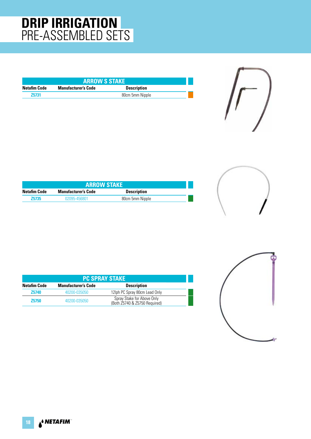### **DRIP IRRIGATION** PRE-ASSEMBLED SETS

| <b>ARROW S STAKE</b> |                                                  |                 |  |  |
|----------------------|--------------------------------------------------|-----------------|--|--|
| Netafim Code         | <b>Manufacturer's Code</b><br><b>Description</b> |                 |  |  |
| 75731                |                                                  | 80cm 5mm Nipple |  |  |



| <b>ARROW STAKE</b>                                               |              |                 |  |
|------------------------------------------------------------------|--------------|-----------------|--|
| Netafim Code<br><b>Manufacturer's Code</b><br><b>Description</b> |              |                 |  |
| <b>Z5735</b>                                                     | 02095-456801 | 80cm 5mm Nipple |  |



| <b>PC SPRAY STAKE</b>                                                   |              |                                                             |  |  |  |
|-------------------------------------------------------------------------|--------------|-------------------------------------------------------------|--|--|--|
| <b>Netafim Code</b><br><b>Manufacturer's Code</b><br><b>Description</b> |              |                                                             |  |  |  |
| <b>Z5740</b>                                                            | 40200-035050 | 12lph PC Spray 80cm Lead Only                               |  |  |  |
| <b>Z5750</b>                                                            | 40200-035050 | Spray Stake for Above Only<br>(Both Z5740 & Z5750 Required) |  |  |  |

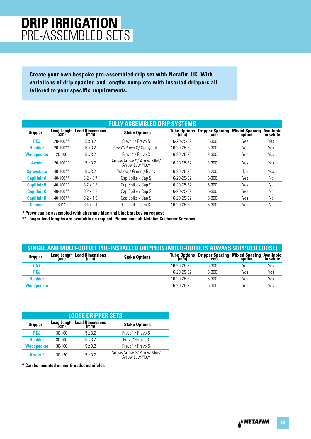### **DRIP IRRIGATION** PRE-ASSEMBLED SETS

**Create your own bespoke pre-assembled drip set with Netafim UK. With variations of drip spacing and lengths complete with inserted drippers all tailored to your specific requirements.** 

|                    |               |                                            | <b>FULLY ASSEMBLED DRIP SYSTEMS</b>          |                             |                                |                                |                              |
|--------------------|---------------|--------------------------------------------|----------------------------------------------|-----------------------------|--------------------------------|--------------------------------|------------------------------|
| <b>Dripper</b>     | (cm)          | <b>Lead Length Lead Dimensions</b><br>(mm) | <b>Stake Options</b>                         | <b>Tube Options</b><br>(mm) | <b>Dripper Spacing</b><br>(cm) | <b>Mixed Spacing</b><br>option | <b>Available</b><br>in white |
| <b>PCJ</b>         | $20 - 100**$  | 5x3.2                                      | Prevo* / Prevo S                             | 16-20-25-32                 | $3 - 300$                      | Yes                            | Yes                          |
| <b>Bubbler</b>     | $20 - 100**$  | 5x3.2                                      | Prevo*/Prevo S/ Spraystake                   | 16-20-25-32                 | $3 - 300$                      | Yes                            | Yes                          |
| <b>Woodpecker</b>  | $20 - 100$    | 5x3.2                                      | Prevo* / Prevo S                             | 16-20-25-32                 | $3 - 300$                      | Yes                            | Yes                          |
| <b>Arrow</b>       | $20-100**$    | 5x3.2                                      | Arrow/Arrow S/ Arrow Mini/<br>Arrow Low Flow | 16-20-25-32                 | $3 - 300$                      | Yes                            | Yes                          |
| <b>Spraystake</b>  | $40 - 100$ ** | 5x3.2                                      | Yellow / Green / Black                       | 16-20-25-32                 | $5 - 200$                      | N <sub>0</sub>                 | Yes                          |
| <b>Capillair A</b> | $40 - 100$ ** | $3.2 \times 0.7$                           | Cap Spike / Cap S                            | 16-20-25-32                 | 5-300                          | Yes                            | No                           |
| <b>Capillair B</b> | $40-100**$    | $3.2 \times 0.8$                           | Cap Spike / Cap S                            | 16-20-25-32                 | 5-300                          | Yes                            | No                           |
| <b>Capillair C</b> | $40-100**$    | $3.2 \times 0.9$                           | Cap Spike / Cap S                            | 16-20-25-32                 | $5 - 300$                      | Yes                            | No                           |
| <b>Capillair D</b> | $40 - 100$ ** | $3.2 \times 1.0$                           | Cap Spike / Cap S                            | 16-20-25-32                 | 5-300                          | Yes                            | No                           |
| <b>Capinet</b>     | $60**$        | $3.4 \times 2.4$                           | Capinet + Capi S                             | 16-20-25-32                 | 5-300                          | Yes                            | No                           |

**\* Prevo can be assembled with alternate blue and black stakes on request** 

**\*\* Longer lead lengths are available on request. Please consult Netafim Customer Services.** 

|                   | SINGLE AND MULTI-OUTLET PRE-INSTALLED DRIPPERS (MULTI-OUTLETS ALWAYS SUPPLIED LOOSE) |                      |             |                                                                                   |     |     |
|-------------------|--------------------------------------------------------------------------------------|----------------------|-------------|-----------------------------------------------------------------------------------|-----|-----|
| <b>Dripper</b>    | <b>Lead Length Lead Dimensions</b><br>(cm)<br>(mm)                                   | <b>Stake Options</b> |             | Tube Options Dripper Spacing Mixed Spacing Available<br>(mm) (cm) option in white |     |     |
| CNL               |                                                                                      |                      | 16-20-25-32 | $5-300$                                                                           | Yes | Yes |
| PCJ               |                                                                                      |                      | 16-20-25-32 | $5-300$                                                                           | Yes | Yes |
| <b>Bubbler</b>    |                                                                                      |                      | 16-20-25-32 | $5-300$                                                                           | Yes | Yes |
| <b>Woodpecker</b> |                                                                                      |                      | 16-20-25-32 | $5-300$                                                                           | Yes | Yes |

|                    | <b>LOOSE DRIPPER SETS</b> |                                          |                                              |  |  |
|--------------------|---------------------------|------------------------------------------|----------------------------------------------|--|--|
| <b>Dripper</b>     |                           | Lead Length Lead Dimensions<br>(cm) (mm) | <b>Stake Options</b>                         |  |  |
| <b>PCJ</b>         | $30-100$                  | 5 x 3.2                                  | Prevo* / Prevo S                             |  |  |
| <b>Bubbler</b>     | $30-100$                  | 5x32                                     | Prevo*/Prevo S                               |  |  |
| <b>Woodpecker</b>  | $30-100$                  | 5x32                                     | Prevo* / Prevo S                             |  |  |
| Arrow <sup>*</sup> | $30-120$                  | 5x32                                     | Arrow/Arrow S/ Arrow Mini/<br>Arrow Low Flow |  |  |

**\* Can be mounted on multi-outlet manifolds**